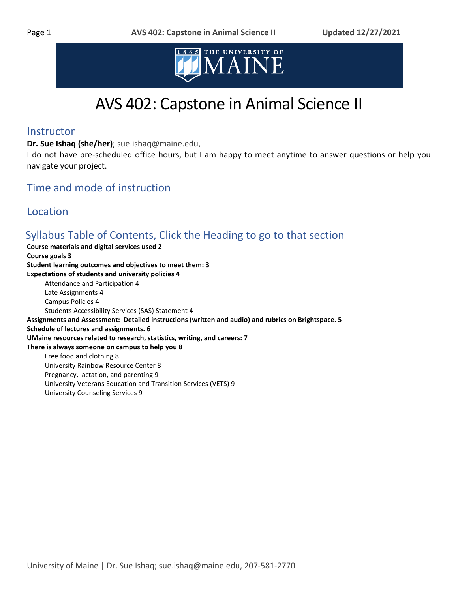

# AVS 402: Capstone in Animal Science II

### **Instructor**

**Dr. Sue Ishaq (she/her)**[; sue.ishaq@maine.edu,](mailto:sue.ishaq@maine.edu)

I do not have pre-scheduled office hours, but I am happy to meet anytime to answer questions or help you navigate your project.

### Time and mode of instruction

### **Location**

### Syllabus Table of Contents, Click the Heading to go to that section

**[Course materials and digital services used](#page-1-0) 2 [Course goals](#page-2-0) 3 [Student learning outcomes and objectives to meet them:](#page-2-1) 3 [Expectations of students and university policies](#page-3-0) 4** [Attendance and Participation](#page-3-1) 4 [Late Assignments](#page-3-2) 4 [Campus Policies](#page-3-3) 4 [Students Accessibility Services \(SAS\) Statement](#page-3-4) 4 **[Assignments and Assessment: Detailed instructions \(written and audio\) and rubrics on Brightspace.](#page-4-0) 5 [Schedule of lectures and assignments.](#page-5-0) 6 [UMaine resources related to research, statistics, writing, and careers:](#page-6-0) 7 [There is always someone on campus to help you](#page-7-0) 8** [Free food and clothing](#page-7-1) 8 [University Rainbow Resource Center](#page-7-2) 8 [Pregnancy, lactation, and parenting](#page-8-0) 9 [University Veterans Education and Transition Services \(VETS\)](#page-8-1) 9 [University Counseling Services](#page-8-2) 9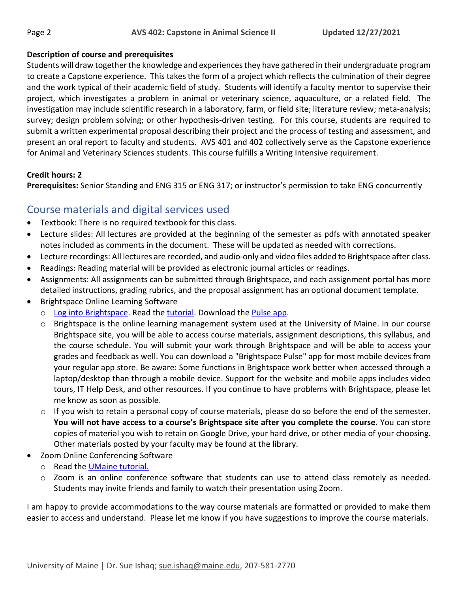#### **Description of course and prerequisites**

Students will draw together the knowledge and experiences they have gathered in their undergraduate program to create a Capstone experience. This takes the form of a project which reflects the culmination of their degree and the work typical of their academic field of study. Students will identify a faculty mentor to supervise their project, which investigates a problem in animal or veterinary science, aquaculture, or a related field. The investigation may include scientific research in a laboratory, farm, or field site; literature review; meta-analysis; survey; design problem solving; or other hypothesis-driven testing. For this course, students are required to submit a written experimental proposal describing their project and the process of testing and assessment, and present an oral report to faculty and students. AVS 401 and 402 collectively serve as the Capstone experience for Animal and Veterinary Sciences students. This course fulfills a Writing Intensive requirement.

#### **Credit hours: 2**

**Prerequisites:** Senior Standing and ENG 315 or ENG 317; or instructor's permission to take ENG concurrently

### <span id="page-1-0"></span>Course materials and digital services used

- Textbook: There is no required textbook for this class.
- Lecture slides: All lectures are provided at the beginning of the semester as pdfs with annotated speaker notes included as comments in the document. These will be updated as needed with corrections.
- Lecture recordings: All lectures are recorded, and audio-only and video files added to Brightspace after class.
- Readings: Reading material will be provided as electronic journal articles or readings.
- Assignments: All assignments can be submitted through Brightspace, and each assignment portal has more detailed instructions, grading rubrics, and the proposal assignment has an optional document template.
- Brightspace Online Learning Software
	- o [Log into Brightspace.](https://courses.maine.edu/d2l/home/) Read the [tutorial.](https://community.brightspace.com/s/article/Brightspace-Learning-Environment-Learner-Guide) Download the [Pulse app.](https://documentation.brightspace.com/EN/brightspace/requirements/all/pulse.htm)
	- o Brightspace is the online learning management system used at the University of Maine. In our course Brightspace site, you will be able to access course materials, assignment descriptions, this syllabus, and the course schedule. You will submit your work through Brightspace and will be able to access your grades and feedback as well. You can download a "Brightspace Pulse" app for most mobile devices from your regular app store. Be aware: Some functions in Brightspace work better when accessed through a laptop/desktop than through a mobile device. Support for the website and mobile apps includes video tours, IT Help Desk, and other resources. If you continue to have problems with Brightspace, please let me know as soon as possible.
	- $\circ$  If you wish to retain a personal copy of course materials, please do so before the end of the semester. **You will not have access to a course's Brightspace site after you complete the course.** You can store copies of material you wish to retain on Google Drive, your hard drive, or other media of your choosing. Other materials posted by your faculty may be found at the library.
- Zoom Online Conferencing Software
	- o Read the [UMaine tutorial.](https://umaine.edu/citl/faculty-support/zoom/)
	- o Zoom is an online conference software that students can use to attend class remotely as needed. Students may invite friends and family to watch their presentation using Zoom.

I am happy to provide accommodations to the way course materials are formatted or provided to make them easier to access and understand. Please let me know if you have suggestions to improve the course materials.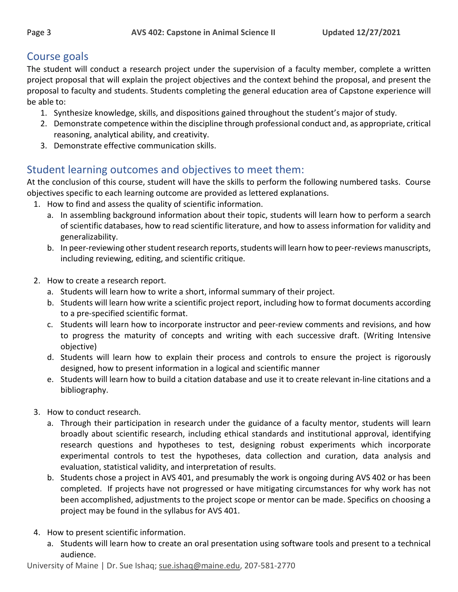### <span id="page-2-0"></span>Course goals

The student will conduct a research project under the supervision of a faculty member, complete a written project proposal that will explain the project objectives and the context behind the proposal, and present the proposal to faculty and students. Students completing the general education area of Capstone experience will be able to:

- 1. Synthesize knowledge, skills, and dispositions gained throughout the student's major of study.
- 2. Demonstrate competence within the discipline through professional conduct and, as appropriate, critical reasoning, analytical ability, and creativity.
- 3. Demonstrate effective communication skills.

### <span id="page-2-1"></span>Student learning outcomes and objectives to meet them:

At the conclusion of this course, student will have the skills to perform the following numbered tasks. Course objectives specific to each learning outcome are provided as lettered explanations.

- 1. How to find and assess the quality of scientific information.
	- a. In assembling background information about their topic, students will learn how to perform a search of scientific databases, how to read scientific literature, and how to assess information for validity and generalizability.
	- b. In peer-reviewing other student research reports, students will learn how to peer-reviews manuscripts, including reviewing, editing, and scientific critique.
- 2. How to create a research report.
	- a. Students will learn how to write a short, informal summary of their project.
	- b. Students will learn how write a scientific project report, including how to format documents according to a pre-specified scientific format.
	- c. Students will learn how to incorporate instructor and peer-review comments and revisions, and how to progress the maturity of concepts and writing with each successive draft. (Writing Intensive objective)
	- d. Students will learn how to explain their process and controls to ensure the project is rigorously designed, how to present information in a logical and scientific manner
	- e. Students will learn how to build a citation database and use it to create relevant in-line citations and a bibliography.
- 3. How to conduct research.
	- a. Through their participation in research under the guidance of a faculty mentor, students will learn broadly about scientific research, including ethical standards and institutional approval, identifying research questions and hypotheses to test, designing robust experiments which incorporate experimental controls to test the hypotheses, data collection and curation, data analysis and evaluation, statistical validity, and interpretation of results.
	- b. Students chose a project in AVS 401, and presumably the work is ongoing during AVS 402 or has been completed. If projects have not progressed or have mitigating circumstances for why work has not been accomplished, adjustments to the project scope or mentor can be made. Specifics on choosing a project may be found in the syllabus for AVS 401.
- 4. How to present scientific information.
	- a. Students will learn how to create an oral presentation using software tools and present to a technical audience.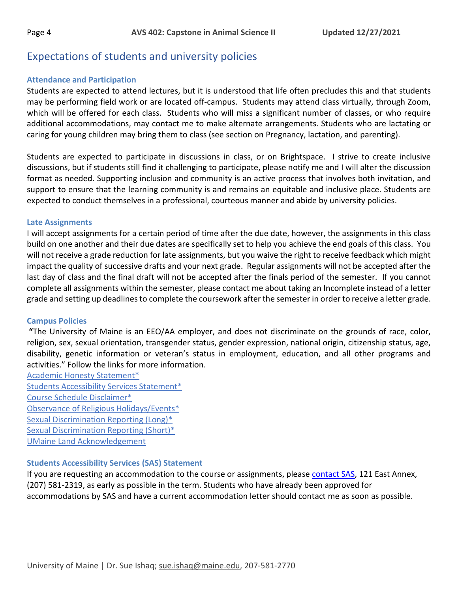### <span id="page-3-0"></span>Expectations of students and university policies

#### <span id="page-3-1"></span>**Attendance and Participation**

Students are expected to attend lectures, but it is understood that life often precludes this and that students may be performing field work or are located off-campus. Students may attend class virtually, through Zoom, which will be offered for each class. Students who will miss a significant number of classes, or who require additional accommodations, may contact me to make alternate arrangements. Students who are lactating or caring for young children may bring them to class (see section on Pregnancy, lactation, and parenting).

Students are expected to participate in discussions in class, or on Brightspace. I strive to create inclusive discussions, but if students still find it challenging to participate, please notify me and I will alter the discussion format as needed. Supporting inclusion and community is an active process that involves both invitation, and support to ensure that the learning community is and remains an equitable and inclusive place. Students are expected to conduct themselves in a professional, courteous manner and abide by university policies.

#### <span id="page-3-2"></span>**Late Assignments**

I will accept assignments for a certain period of time after the due date, however, the assignments in this class build on one another and their due dates are specifically set to help you achieve the end goals of this class. You will not receive a grade reduction for late assignments, but you waive the right to receive feedback which might impact the quality of successive drafts and your next grade. Regular assignments will not be accepted after the last day of class and the final draft will not be accepted after the finals period of the semester. If you cannot complete all assignments within the semester, please contact me about taking an Incomplete instead of a letter grade and setting up deadlines to complete the coursework after the semester in order to receive a letter grade.

#### <span id="page-3-3"></span>**Campus Policies**

**"**The University of Maine is an EEO/AA employer, and does not discriminate on the grounds of race, color, religion, sex, sexual orientation, transgender status, gender expression, national origin, citizenship status, age, disability, genetic information or veteran's status in employment, education, and all other programs and activities." Follow the links for more information.

[Academic Honesty Statement\\*](https://umaine.edu/citl/teaching-resources-2/required-syllabus-information/#Academic)  [Students Accessibility Services Statement\\*](https://umaine.edu/citl/teaching-resources-2/required-syllabus-information/#Accessibility) [Course Schedule Disclaimer\\*](https://umaine.edu/citl/teaching-resources-2/required-syllabus-information/#Schedule) [Observance of Religious Holidays/Events\\*](https://umaine.edu/citl/teaching-resources-2/required-syllabus-information/#Observance) [Sexual Discrimination Reporting \(Long\)\\*](https://umaine.edu/citl/teaching-resources-2/required-syllabus-information/#Reporting_Long) [Sexual Discrimination Reporting \(Short\)\\*](https://umaine.edu/citl/teaching-resources-2/required-syllabus-information/#Reporting_Short) [UMaine Land Acknowledgement](https://umaine.edu/about/university-of-maine-land-acknowledgement/)

#### <span id="page-3-4"></span>**Students Accessibility Services (SAS) Statement**

If you are requesting an accommodation to the course or assignments, please [contact SAS,](https://umaine.edu/studentaccessibility/) 121 East Annex, (207) 581-2319, as early as possible in the term. Students who have already been approved for accommodations by SAS and have a current accommodation letter should contact me as soon as possible.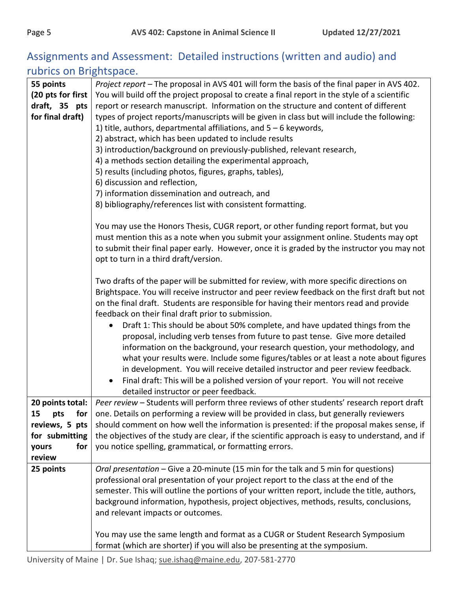## <span id="page-4-0"></span>Assignments and Assessment: Detailed instructions (written and audio) and rubrics on Brightspace.

| 55 points         | Project report - The proposal in AVS 401 will form the basis of the final paper in AVS 402.         |
|-------------------|-----------------------------------------------------------------------------------------------------|
| (20 pts for first | You will build off the project proposal to create a final report in the style of a scientific       |
| draft, 35 pts     | report or research manuscript. Information on the structure and content of different                |
| for final draft)  | types of project reports/manuscripts will be given in class but will include the following:         |
|                   | 1) title, authors, departmental affiliations, and $5 - 6$ keywords,                                 |
|                   | 2) abstract, which has been updated to include results                                              |
|                   | 3) introduction/background on previously-published, relevant research,                              |
|                   | 4) a methods section detailing the experimental approach,                                           |
|                   | 5) results (including photos, figures, graphs, tables),                                             |
|                   | 6) discussion and reflection,                                                                       |
|                   | 7) information dissemination and outreach, and                                                      |
|                   | 8) bibliography/references list with consistent formatting.                                         |
|                   | You may use the Honors Thesis, CUGR report, or other funding report format, but you                 |
|                   | must mention this as a note when you submit your assignment online. Students may opt                |
|                   | to submit their final paper early. However, once it is graded by the instructor you may not         |
|                   | opt to turn in a third draft/version.                                                               |
|                   |                                                                                                     |
|                   | Two drafts of the paper will be submitted for review, with more specific directions on              |
|                   | Brightspace. You will receive instructor and peer review feedback on the first draft but not        |
|                   | on the final draft. Students are responsible for having their mentors read and provide              |
|                   | feedback on their final draft prior to submission.                                                  |
|                   | Draft 1: This should be about 50% complete, and have updated things from the                        |
|                   | proposal, including verb tenses from future to past tense. Give more detailed                       |
|                   | information on the background, your research question, your methodology, and                        |
|                   | what your results were. Include some figures/tables or at least a note about figures                |
|                   | in development. You will receive detailed instructor and peer review feedback.                      |
|                   | Final draft: This will be a polished version of your report. You will not receive                   |
|                   | detailed instructor or peer feedback.                                                               |
| 20 points total:  | Peer review - Students will perform three reviews of other students' research report draft          |
|                   | 15 pts for   one. Details on performing a review will be provided in class, but generally reviewers |
| reviews, 5 pts    | should comment on how well the information is presented: if the proposal makes sense, if            |
| for submitting    | the objectives of the study are clear, if the scientific approach is easy to understand, and if     |
| for<br>yours      | you notice spelling, grammatical, or formatting errors.                                             |
| review            |                                                                                                     |
| 25 points         | Oral presentation - Give a 20-minute (15 min for the talk and 5 min for questions)                  |
|                   | professional oral presentation of your project report to the class at the end of the                |
|                   | semester. This will outline the portions of your written report, include the title, authors,        |
|                   | background information, hypothesis, project objectives, methods, results, conclusions,              |
|                   | and relevant impacts or outcomes.                                                                   |
|                   | You may use the same length and format as a CUGR or Student Research Symposium                      |
|                   | format (which are shorter) if you will also be presenting at the symposium.                         |
|                   |                                                                                                     |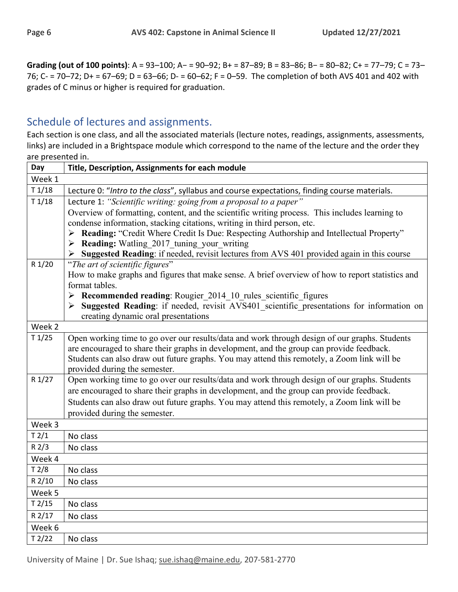**Grading (out of 100 points)**: A = 93–100; A− = 90–92; B+ = 87–89; B = 83–86; B− = 80–82; C+ = 77–79; C = 73– 76; C- = 70–72; D+ = 67–69; D = 63–66; D- = 60–62; F = 0–59. The completion of both AVS 401 and 402 with grades of C minus or higher is required for graduation.

<span id="page-5-0"></span>Schedule of lectures and assignments.<br>Each section is one class, and all the associated materials (lecture notes, readings, assignments, assessments, links) are included in a Brightspace module which correspond to the name of the lecture and the order they are presented in.

| Day      | Title, Description, Assignments for each module                                                                                                                                         |
|----------|-----------------------------------------------------------------------------------------------------------------------------------------------------------------------------------------|
| Week 1   |                                                                                                                                                                                         |
| T1/18    | Lecture 0: "Intro to the class", syllabus and course expectations, finding course materials.                                                                                            |
| T1/18    | Lecture 1: "Scientific writing: going from a proposal to a paper"                                                                                                                       |
|          | Overview of formatting, content, and the scientific writing process. This includes learning to                                                                                          |
|          | condense information, stacking citations, writing in third person, etc.                                                                                                                 |
|          | Reading: "Credit Where Credit Is Due: Respecting Authorship and Intellectual Property"<br>$\blacktriangleright$                                                                         |
|          | Reading: Watling 2017 tuning your writing<br>➤                                                                                                                                          |
|          | Suggested Reading: if needed, revisit lectures from AVS 401 provided again in this course<br>➤                                                                                          |
| R 1/20   | "The art of scientific figures"                                                                                                                                                         |
|          | How to make graphs and figures that make sense. A brief overview of how to report statistics and                                                                                        |
|          | format tables.                                                                                                                                                                          |
|          | > Recommended reading: Rougier 2014 10 rules scientific figures                                                                                                                         |
|          | Suggested Reading: if needed, revisit AVS401 scientific presentations for information on                                                                                                |
| Week 2   | creating dynamic oral presentations                                                                                                                                                     |
|          |                                                                                                                                                                                         |
| T1/25    | Open working time to go over our results/data and work through design of our graphs. Students                                                                                           |
|          | are encouraged to share their graphs in development, and the group can provide feedback.<br>Students can also draw out future graphs. You may attend this remotely, a Zoom link will be |
|          | provided during the semester.                                                                                                                                                           |
| R 1/27   | Open working time to go over our results/data and work through design of our graphs. Students                                                                                           |
|          | are encouraged to share their graphs in development, and the group can provide feedback.                                                                                                |
|          | Students can also draw out future graphs. You may attend this remotely, a Zoom link will be                                                                                             |
|          | provided during the semester.                                                                                                                                                           |
| Week 3   |                                                                                                                                                                                         |
| T2/1     | No class                                                                                                                                                                                |
| $R$ 2/3  |                                                                                                                                                                                         |
| Week 4   | No class                                                                                                                                                                                |
|          |                                                                                                                                                                                         |
| T2/8     | No class                                                                                                                                                                                |
| R 2/10   | No class                                                                                                                                                                                |
| Week 5   |                                                                                                                                                                                         |
| $T$ 2/15 | No class                                                                                                                                                                                |
| R 2/17   | No class                                                                                                                                                                                |
| Week 6   |                                                                                                                                                                                         |
| T2/22    | No class                                                                                                                                                                                |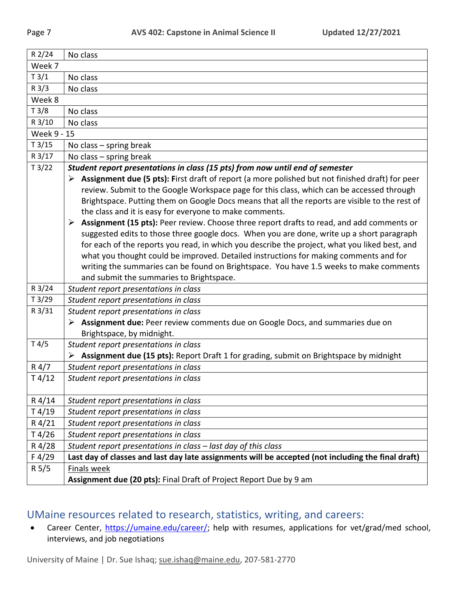| R 2/24           | No class                                                                                             |  |
|------------------|------------------------------------------------------------------------------------------------------|--|
| Week 7           |                                                                                                      |  |
| T3/1             | No class                                                                                             |  |
| R <sub>3/3</sub> | No class                                                                                             |  |
| Week 8           |                                                                                                      |  |
| T3/8             | No class                                                                                             |  |
| R 3/10           | No class                                                                                             |  |
| Week 9 - 15      |                                                                                                      |  |
| T3/15            | No class - spring break                                                                              |  |
| R 3/17           | No class $-$ spring break                                                                            |  |
| T3/22            | Student report presentations in class (15 pts) from now until end of semester                        |  |
|                  | Assignment due (5 pts): First draft of report (a more polished but not finished draft) for peer<br>➤ |  |
|                  | review. Submit to the Google Workspace page for this class, which can be accessed through            |  |
|                  | Brightspace. Putting them on Google Docs means that all the reports are visible to the rest of       |  |
|                  | the class and it is easy for everyone to make comments.                                              |  |
|                  | Assignment (15 pts): Peer review. Choose three report drafts to read, and add comments or<br>➤       |  |
|                  | suggested edits to those three google docs. When you are done, write up a short paragraph            |  |
|                  | for each of the reports you read, in which you describe the project, what you liked best, and        |  |
|                  | what you thought could be improved. Detailed instructions for making comments and for                |  |
|                  | writing the summaries can be found on Brightspace. You have 1.5 weeks to make comments               |  |
|                  | and submit the summaries to Brightspace.                                                             |  |
| R 3/24           | Student report presentations in class                                                                |  |
| T3/29            | Student report presentations in class                                                                |  |
| R 3/31           | Student report presentations in class                                                                |  |
|                  | Assignment due: Peer review comments due on Google Docs, and summaries due on<br>➤                   |  |
|                  | Brightspace, by midnight.                                                                            |  |
| T 4/5            | Student report presentations in class                                                                |  |
|                  | Assignment due (15 pts): Report Draft 1 for grading, submit on Brightspace by midnight<br>➤          |  |
| $R\,4/7$         | Student report presentations in class                                                                |  |
| T4/12            | Student report presentations in class                                                                |  |
| R 4/14           | Student report presentations in class                                                                |  |
| T4/19            | Student report presentations in class                                                                |  |
| R 4/21           | Student report presentations in class                                                                |  |
| T4/26            | Student report presentations in class                                                                |  |
| R 4/28           | Student report presentations in class - last day of this class                                       |  |
| F 4/29           | Last day of classes and last day late assignments will be accepted (not including the final draft)   |  |
| R 5/5            | Finals week                                                                                          |  |
|                  | Assignment due (20 pts): Final Draft of Project Report Due by 9 am                                   |  |

### <span id="page-6-0"></span>UMaine resources related to research, statistics, writing, and careers:

• Career Center, [https://umaine.edu/career/;](https://umaine.edu/career/) help with resumes, applications for vet/grad/med school, interviews, and job negotiations

University of Maine | Dr. Sue Ishaq; [sue.ishaq@maine.edu,](mailto:sue.ishaq@maine.edu) 207-581-2770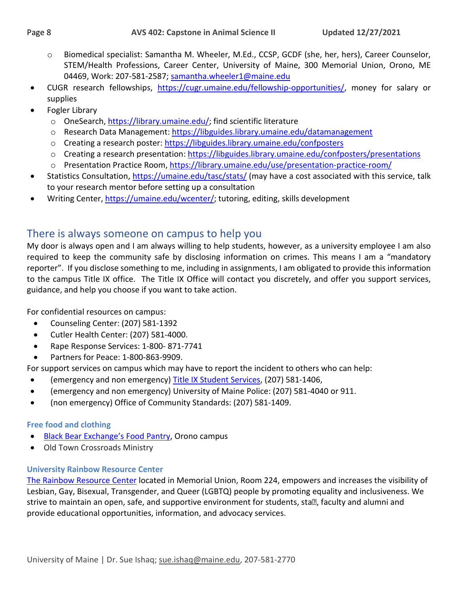- o Biomedical specialist: Samantha M. Wheeler, M.Ed., CCSP, GCDF (she, her, hers), Career Counselor, STEM/Health Professions, Career Center, University of Maine, 300 Memorial Union, Orono, ME 04469, Work: 207-581-2587; [samantha.wheeler1@maine.edu](mailto:samantha.wheeler1@maine.edu)
- CUGR research fellowships, [https://cugr.umaine.edu/fellowship-opportunities/,](https://cugr.umaine.edu/fellowship-opportunities/) money for salary or supplies
- Fogler Library
	- o OneSearch, [https://library.umaine.edu/;](https://library.umaine.edu/) find scientific literature
	- o Research Data Management:<https://libguides.library.umaine.edu/datamanagement>
	- o Creating a research poster:<https://libguides.library.umaine.edu/confposters>
	- o Creating a research presentation:<https://libguides.library.umaine.edu/confposters/presentations>
	- o Presentation Practice Room,<https://library.umaine.edu/use/presentation-practice-room/>
- Statistics Consultation,<https://umaine.edu/tasc/stats/> (may have a cost associated with this service, talk to your research mentor before setting up a consultation
- Writing Center, [https://umaine.edu/wcenter/;](https://umaine.edu/wcenter/) tutoring, editing, skills development

### <span id="page-7-0"></span>There is always someone on campus to help you

My door is always open and I am always willing to help students, however, as a university employee I am also required to keep the community safe by disclosing information on crimes. This means I am a "mandatory reporter".If you disclose something to me, including in assignments, I am obligated to provide this information to the campus Title IX office. The Title IX Office will contact you discretely, and offer you support services, guidance, and help you choose if you want to take action.

For confidential resources on campus:

- Counseling Center: (207) 581-1392
- Cutler Health Center: (207) 581-4000.
- Rape Response Services: 1-800- 871-7741
- Partners for Peace: 1-800-863-9909.

For support services on campus which may have to report the incident to others who can help:

- (emergency and non emergency) [Title IX Student Services,](ttps://umaine.edu/titleix/) (207) 581-1406,
- (emergency and non emergency) University of Maine Police: (207) 581-4040 or 911.
- (non emergency) Office of Community Standards: (207) 581-1409.

#### <span id="page-7-1"></span>**Free food and clothing**

- [Black Bear Exchange's Food Pantry,](https://umaine.edu/volunteer/black-bear-exchange/) Orono campus
- Old Town Crossroads Ministry

#### <span id="page-7-2"></span>**University Rainbow Resource Center**

[The Rainbow Resource Center](https://umaine.edu/lgbtq/) located in Memorial Union, Room 224, empowers and increases the visibility of Lesbian, Gay, Bisexual, Transgender, and Queer (LGBTQ) people by promoting equality and inclusiveness. We strive to maintain an open, safe, and supportive environment for students, sta., faculty and alumni and provide educational opportunities, information, and advocacy services.